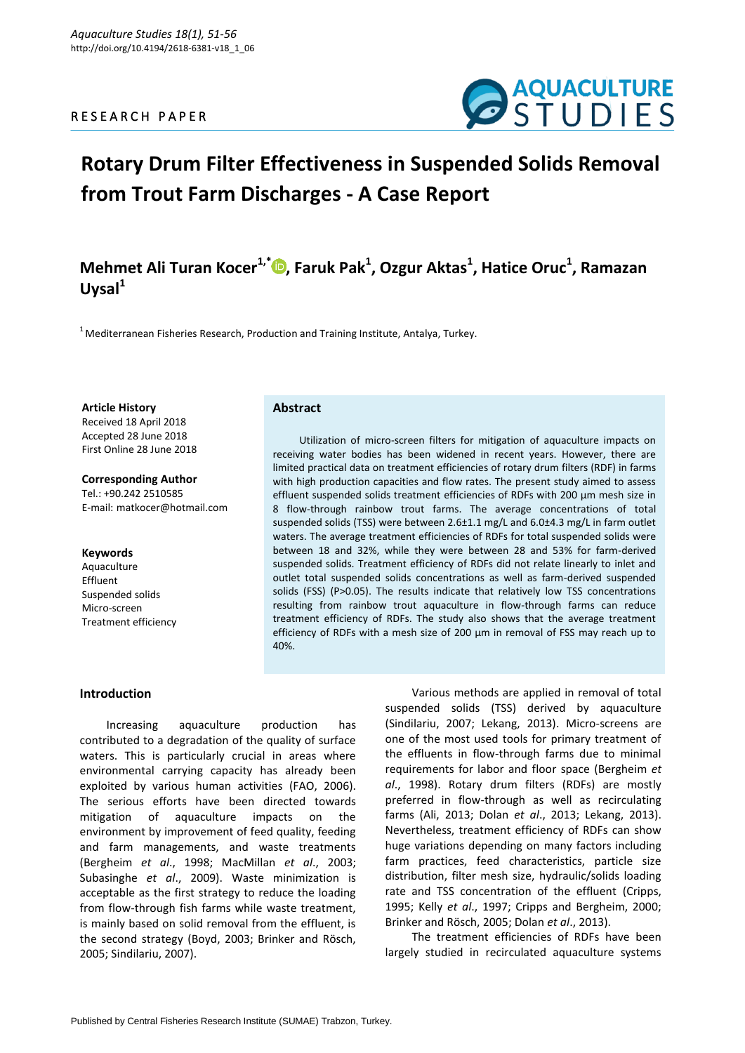### R E S E A R C H P A P E R



# **Rotary Drum Filter Effectiveness in Suspended Solids Removal from Trout Farm Discharges - A Case Report**

## **Mehmet Ali Turan Kocer1,\* [,](https://orcid.org/0000-0003-1797-6926) Faruk Pak<sup>1</sup> , Ozgur Aktas<sup>1</sup> , Hatice Oruc<sup>1</sup> , Ramazan Uysal<sup>1</sup>**

 $1$ Mediterranean Fisheries Research, Production and Training Institute, Antalya, Turkey.

#### **Article History**

Received 18 April 2018 Accepted 28 June 2018 First Online 28 June 2018

#### **Corresponding Author**

Tel.: +90.242 2510585 E-mail: matkocer@hotmail.com

#### **Keywords**

Aquaculture Effluent Suspended solids Micro-screen Treatment efficiency

#### **Abstract**

Utilization of micro-screen filters for mitigation of aquaculture impacts on receiving water bodies has been widened in recent years. However, there are limited practical data on treatment efficiencies of rotary drum filters (RDF) in farms with high production capacities and flow rates. The present study aimed to assess effluent suspended solids treatment efficiencies of RDFs with 200 µm mesh size in 8 flow-through rainbow trout farms. The average concentrations of total suspended solids (TSS) were between 2.6±1.1 mg/L and 6.0±4.3 mg/L in farm outlet waters. The average treatment efficiencies of RDFs for total suspended solids were between 18 and 32%, while they were between 28 and 53% for farm-derived suspended solids. Treatment efficiency of RDFs did not relate linearly to inlet and outlet total suspended solids concentrations as well as farm-derived suspended solids (FSS) (P>0.05). The results indicate that relatively low TSS concentrations resulting from rainbow trout aquaculture in flow-through farms can reduce treatment efficiency of RDFs. The study also shows that the average treatment efficiency of RDFs with a mesh size of 200 µm in removal of FSS may reach up to 40%.

#### **Introduction**

Increasing aquaculture production has contributed to a degradation of the quality of surface waters. This is particularly crucial in areas where environmental carrying capacity has already been exploited by various human activities (FAO, 2006). The serious efforts have been directed towards mitigation of aquaculture impacts on the environment by improvement of feed quality, feeding and farm managements, and waste treatments (Bergheim *et al*., 1998; MacMillan *et al*., 2003; Subasinghe *et al*., 2009). Waste minimization is acceptable as the first strategy to reduce the loading from flow-through fish farms while waste treatment, is mainly based on solid removal from the effluent, is the second strategy (Boyd, 2003; Brinker and Rösch, 2005; Sindilariu, 2007).

Various methods are applied in removal of total suspended solids (TSS) derived by aquaculture (Sindilariu, 2007; Lekang, 2013). Micro-screens are one of the most used tools for primary treatment of the effluents in flow-through farms due to minimal requirements for labor and floor space (Bergheim *et al*., 1998). Rotary drum filters (RDFs) are mostly preferred in flow-through as well as recirculating farms (Ali, 2013; Dolan *et al*., 2013; Lekang, 2013). Nevertheless, treatment efficiency of RDFs can show huge variations depending on many factors including farm practices, feed characteristics, particle size distribution, filter mesh size, hydraulic/solids loading rate and TSS concentration of the effluent (Cripps, 1995; Kelly *et al*., 1997; Cripps and Bergheim, 2000; Brinker and Rösch, 2005; Dolan *et al*., 2013).

The treatment efficiencies of RDFs have been largely studied in recirculated aquaculture systems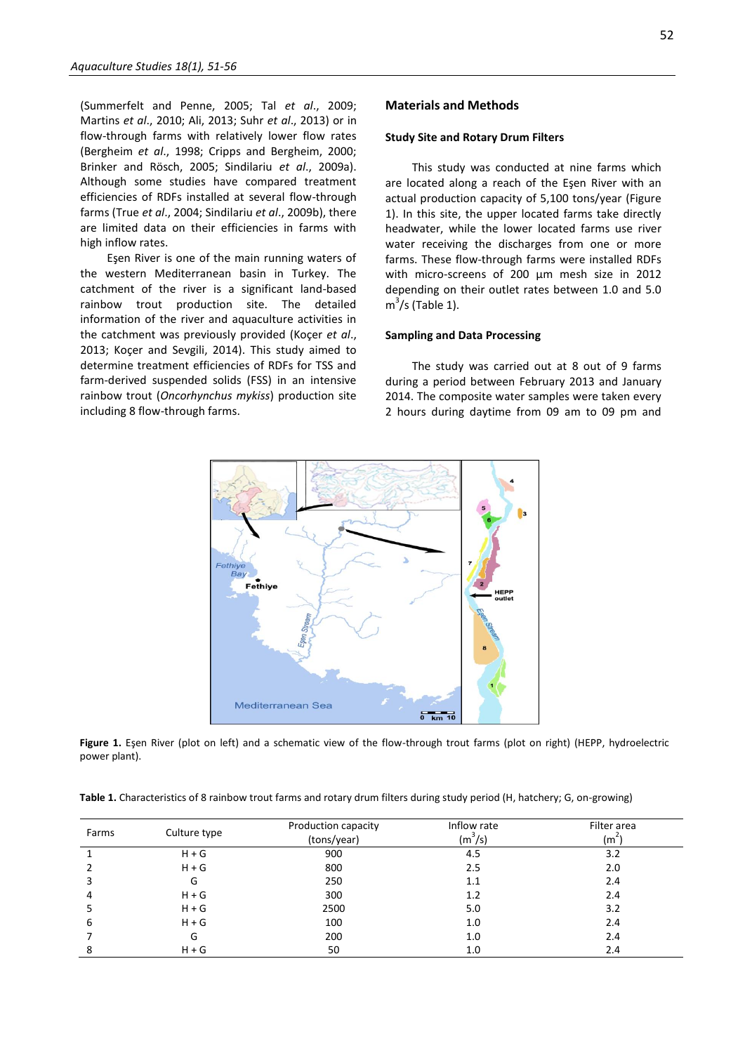(Summerfelt and Penne, 2005; Tal *et al*., 2009; Martins *et al*., 2010; Ali, 2013; Suhr *et al*., 2013) or in flow-through farms with relatively lower flow rates (Bergheim *et al*., 1998; Cripps and Bergheim, 2000; Brinker and Rösch, 2005; Sindilariu *et al*., 2009a). Although some studies have compared treatment efficiencies of RDFs installed at several flow-through farms (True *et al*., 2004; Sindilariu *et al*., 2009b), there are limited data on their efficiencies in farms with high inflow rates.

Eşen River is one of the main running waters of the western Mediterranean basin in Turkey. The catchment of the river is a significant land-based rainbow trout production site. The detailed information of the river and aquaculture activities in the catchment was previously provided (Koçer *et al*., 2013; Koçer and Sevgili, 2014). This study aimed to determine treatment efficiencies of RDFs for TSS and farm-derived suspended solids (FSS) in an intensive rainbow trout (*Oncorhynchus mykiss*) production site including 8 flow-through farms.

#### **Materials and Methods**

#### **Study Site and Rotary Drum Filters**

This study was conducted at nine farms which are located along a reach of the Eşen River with an actual production capacity of 5,100 tons/year (Figure 1). In this site, the upper located farms take directly headwater, while the lower located farms use river water receiving the discharges from one or more farms. These flow-through farms were installed RDFs with micro-screens of 200 um mesh size in 2012 depending on their outlet rates between 1.0 and 5.0  $m<sup>3</sup>/s$  (Table 1).

#### **Sampling and Data Processing**

The study was carried out at 8 out of 9 farms during a period between February 2013 and January 2014. The composite water samples were taken every 2 hours during daytime from 09 am to 09 pm and



**Figure 1.** Eşen River (plot on left) and a schematic view of the flow-through trout farms (plot on right) (HEPP, hydroelectric power plant).

| Table 1. Characteristics of 8 rainbow trout farms and rotary drum filters during study period (H, hatchery; G, on-growing) |  |  |  |
|----------------------------------------------------------------------------------------------------------------------------|--|--|--|
|----------------------------------------------------------------------------------------------------------------------------|--|--|--|

| Farms | Culture type | Production capacity<br>(tons/year) | Inflow rate<br>$(m^3/s)$ | Filter area<br>(m <sup>z</sup> ' |
|-------|--------------|------------------------------------|--------------------------|----------------------------------|
|       | $H + G$      | 900                                | 4.5                      | 3.2                              |
|       | $H + G$      | 800                                | 2.5                      | 2.0                              |
|       | G            | 250                                | 1.1                      | 2.4                              |
|       | $H + G$      | 300                                | 1.2                      | 2.4                              |
|       | $H + G$      | 2500                               | 5.0                      | 3.2                              |
| 6     | $H + G$      | 100                                | 1.0                      | 2.4                              |
|       | G            | 200                                | 1.0                      | 2.4                              |
| 8     | $H + G$      | 50                                 | 1.0                      | 2.4                              |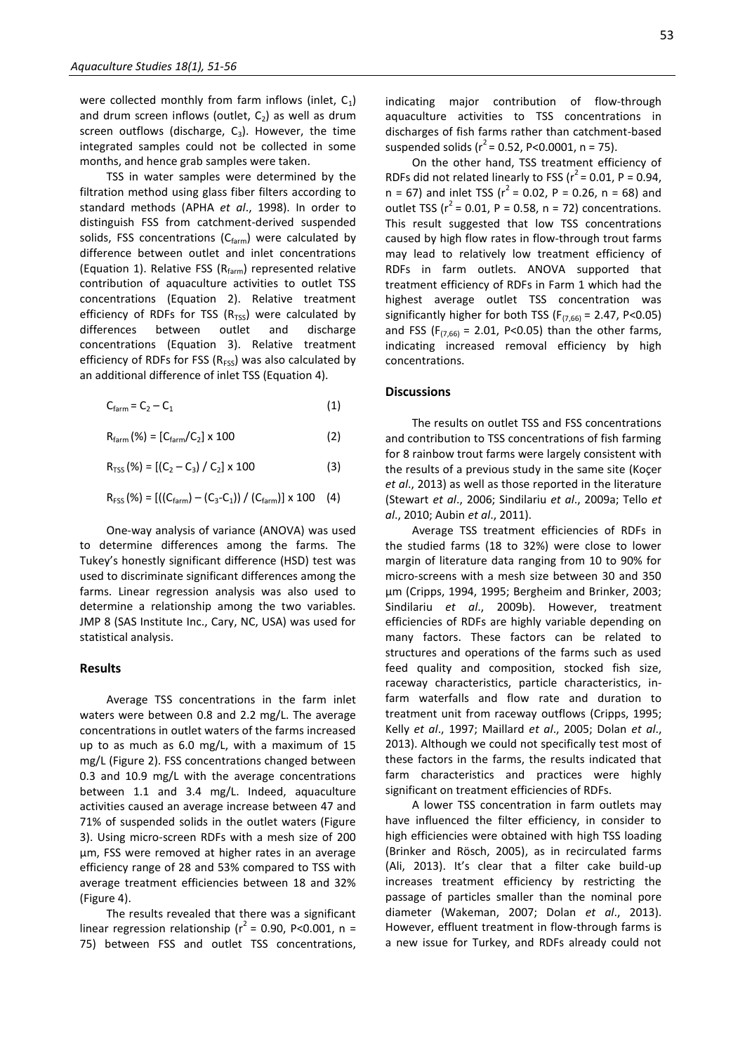were collected monthly from farm inflows (inlet,  $C_1$ ) and drum screen inflows (outlet,  $C_2$ ) as well as drum screen outflows (discharge,  $C_3$ ). However, the time integrated samples could not be collected in some months, and hence grab samples were taken.

TSS in water samples were determined by the filtration method using glass fiber filters according to standard methods (APHA *et al*., 1998). In order to distinguish FSS from catchment-derived suspended solids, FSS concentrations  $(C_{\text{farm}})$  were calculated by difference between outlet and inlet concentrations (Equation 1). Relative FSS ( $R_{form}$ ) represented relative contribution of aquaculture activities to outlet TSS concentrations (Equation 2). Relative treatment efficiency of RDFs for TSS ( $R_{TSS}$ ) were calculated by differences between outlet and discharge concentrations (Equation 3). Relative treatment efficiency of RDFs for FSS ( $R_{FSS}$ ) was also calculated by an additional difference of inlet TSS (Equation 4).

$$
C_{\text{farm}} = C_2 - C_1 \tag{1}
$$

 $R_{\text{farm}} (\%) = [C_{\text{farm}} / C_2] \times 100$  (2)

 $R_{TSS}$  (%) = [(C<sub>2</sub> – C<sub>3</sub>) / C<sub>2</sub>] x 100 (3)

$$
R_{FSS} (\%) = [((C_{\text{farm}}) - (C_3 - C_1)) / (C_{\text{farm}})] \times 100 \quad (4)
$$

One-way analysis of variance (ANOVA) was used to determine differences among the farms. The Tukey's honestly significant difference (HSD) test was used to discriminate significant differences among the farms. Linear regression analysis was also used to determine a relationship among the two variables. JMP 8 (SAS Institute Inc., Cary, NC, USA) was used for statistical analysis.

#### **Results**

Average TSS concentrations in the farm inlet waters were between 0.8 and 2.2 mg/L. The average concentrations in outlet waters of the farms increased up to as much as 6.0 mg/L, with a maximum of 15 mg/L (Figure 2). FSS concentrations changed between 0.3 and 10.9 mg/L with the average concentrations between 1.1 and 3.4 mg/L. Indeed, aquaculture activities caused an average increase between 47 and 71% of suspended solids in the outlet waters (Figure 3). Using micro-screen RDFs with a mesh size of 200 µm, FSS were removed at higher rates in an average efficiency range of 28 and 53% compared to TSS with average treatment efficiencies between 18 and 32% (Figure 4).

The results revealed that there was a significant linear regression relationship ( $r^2$  = 0.90, P<0.001, n = 75) between FSS and outlet TSS concentrations, indicating major contribution of flow-through aquaculture activities to TSS concentrations in discharges of fish farms rather than catchment-based suspended solids ( $r^2$  = 0.52, P<0.0001, n = 75).

On the other hand, TSS treatment efficiency of RDFs did not related linearly to FSS ( $r^2$  = 0.01, P = 0.94,  $n = 67$ ) and inlet TSS ( $r^2 = 0.02$ , P = 0.26, n = 68) and outlet TSS ( $r^2$  = 0.01, P = 0.58, n = 72) concentrations. This result suggested that low TSS concentrations caused by high flow rates in flow-through trout farms may lead to relatively low treatment efficiency of RDFs in farm outlets. ANOVA supported that treatment efficiency of RDFs in Farm 1 which had the highest average outlet TSS concentration was significantly higher for both TSS ( $F_{(7,66)} = 2.47$ , P<0.05) and FSS ( $F_{(7,66)} = 2.01$ , P<0.05) than the other farms, indicating increased removal efficiency by high concentrations.

#### **Discussions**

The results on outlet TSS and FSS concentrations and contribution to TSS concentrations of fish farming for 8 rainbow trout farms were largely consistent with the results of a previous study in the same site (Koçer *et al*., 2013) as well as those reported in the literature (Stewart *et al*., 2006; Sindilariu *et al*., 2009a; Tello *et al*., 2010; Aubin *et al*., 2011).

Average TSS treatment efficiencies of RDFs in the studied farms (18 to 32%) were close to lower margin of literature data ranging from 10 to 90% for micro-screens with a mesh size between 30 and 350 µm (Cripps, 1994, 1995; Bergheim and Brinker, 2003; Sindilariu *et al*., 2009b). However, treatment efficiencies of RDFs are highly variable depending on many factors. These factors can be related to structures and operations of the farms such as used feed quality and composition, stocked fish size, raceway characteristics, particle characteristics, infarm waterfalls and flow rate and duration to treatment unit from raceway outflows (Cripps, 1995; Kelly *et al*., 1997; Maillard *et al*., 2005; Dolan *et al*., 2013). Although we could not specifically test most of these factors in the farms, the results indicated that farm characteristics and practices were highly significant on treatment efficiencies of RDFs.

A lower TSS concentration in farm outlets may have influenced the filter efficiency, in consider to high efficiencies were obtained with high TSS loading (Brinker and Rösch, 2005), as in recirculated farms (Ali, 2013). It's clear that a filter cake build-up increases treatment efficiency by restricting the passage of particles smaller than the nominal pore diameter (Wakeman, 2007; Dolan *et al*., 2013). However, effluent treatment in flow-through farms is a new issue for Turkey, and RDFs already could not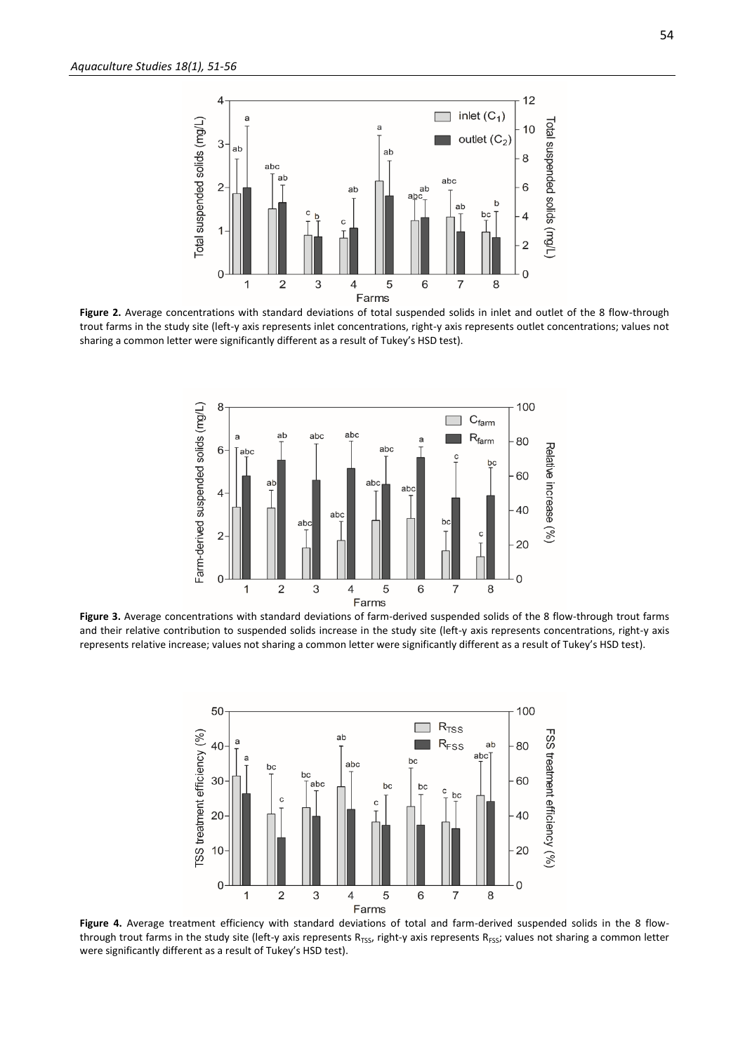

**Figure 2.** Average concentrations with standard deviations of total suspended solids in inlet and outlet of the 8 flow-through trout farms in the study site (left-y axis represents inlet concentrations, right-y axis represents outlet concentrations; values not sharing a common letter were significantly different as a result of Tukey's HSD test).



**Figure 3.** Average concentrations with standard deviations of farm-derived suspended solids of the 8 flow-through trout farms and their relative contribution to suspended solids increase in the study site (left-y axis represents concentrations, right-y axis represents relative increase; values not sharing a common letter were significantly different as a result of Tukey's HSD test).



Figure 4. Average treatment efficiency with standard deviations of total and farm-derived suspended solids in the 8 flowthrough trout farms in the study site (left-y axis represents R<sub>TSS</sub>, right-y axis represents R<sub>FSS</sub>; values not sharing a common letter were significantly different as a result of Tukey's HSD test).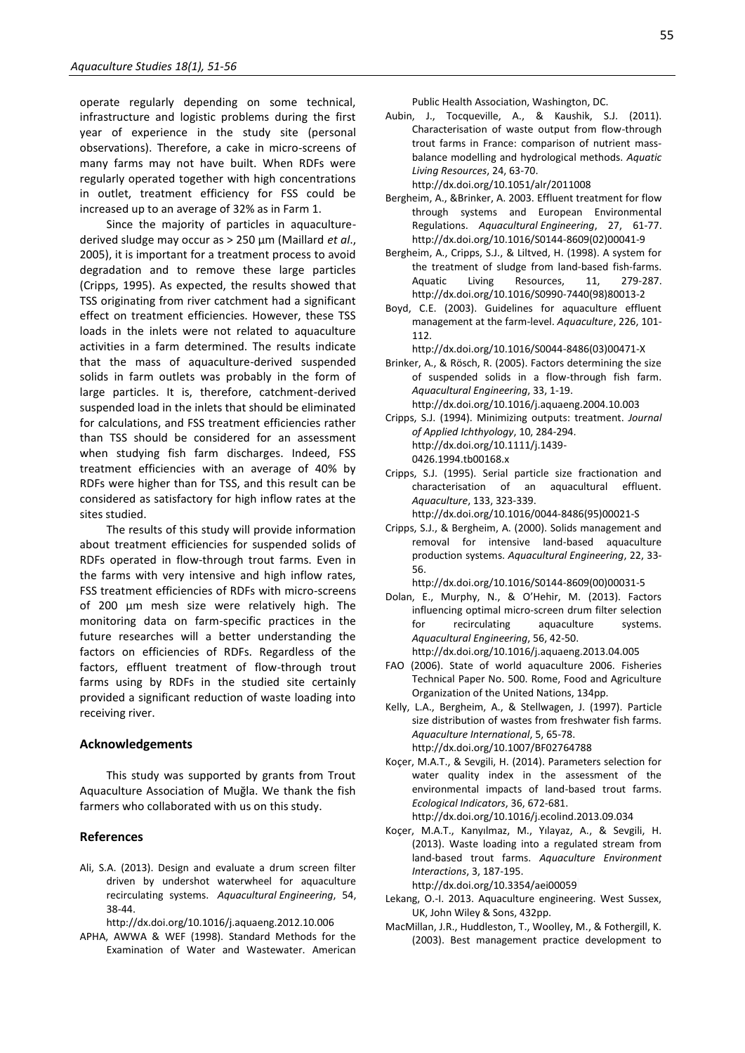operate regularly depending on some technical, infrastructure and logistic problems during the first year of experience in the study site (personal observations). Therefore, a cake in micro-screens of many farms may not have built. When RDFs were regularly operated together with high concentrations in outlet, treatment efficiency for FSS could be increased up to an average of 32% as in Farm 1.

Since the majority of particles in aquaculturederived sludge may occur as > 250 µm (Maillard *et al*., 2005), it is important for a treatment process to avoid degradation and to remove these large particles (Cripps, 1995). As expected, the results showed that TSS originating from river catchment had a significant effect on treatment efficiencies. However, these TSS loads in the inlets were not related to aquaculture activities in a farm determined. The results indicate that the mass of aquaculture-derived suspended solids in farm outlets was probably in the form of large particles. It is, therefore, catchment-derived suspended load in the inlets that should be eliminated for calculations, and FSS treatment efficiencies rather than TSS should be considered for an assessment when studying fish farm discharges. Indeed, FSS treatment efficiencies with an average of 40% by RDFs were higher than for TSS, and this result can be considered as satisfactory for high inflow rates at the sites studied.

The results of this study will provide information about treatment efficiencies for suspended solids of RDFs operated in flow-through trout farms. Even in the farms with very intensive and high inflow rates, FSS treatment efficiencies of RDFs with micro-screens of 200 µm mesh size were relatively high. The monitoring data on farm-specific practices in the future researches will a better understanding the factors on efficiencies of RDFs. Regardless of the factors, effluent treatment of flow-through trout farms using by RDFs in the studied site certainly provided a significant reduction of waste loading into receiving river.

#### **Acknowledgements**

This study was supported by grants from Trout Aquaculture Association of Muğla. We thank the fish farmers who collaborated with us on this study.

#### **References**

Ali, S.A. (2013). Design and evaluate a drum screen filter driven by undershot waterwheel for aquaculture recirculating systems. *Aquacultural Engineering*, 54, 38-44.

http://dx.doi.org/10.1016/j.aquaeng.2012.10.006

APHA, AWWA & WEF (1998). Standard Methods for the Examination of Water and Wastewater. American Public Health Association, Washington, DC.

Aubin, J., Tocqueville, A., & Kaushik, S.J. (2011). Characterisation of waste output from flow-through trout farms in France: comparison of nutrient massbalance modelling and hydrological methods. *Aquatic Living Resources*, 24, 63-70.

http://dx.doi.org/10.1051/alr/2011008

- Bergheim, A., &Brinker, A. 2003. Effluent treatment for flow through systems and European Environmental Regulations. *Aquacultural Engineering*, 27, 61-77. http://dx.doi.org/10.1016/S0144-8609(02)00041-9
- Bergheim, A., Cripps, S.J., & Liltved, H. (1998). A system for the treatment of sludge from land-based fish-farms. Aquatic Living Resources, 11, 279-287. http://dx.doi.org/10.1016/S0990-7440(98)80013-2
- Boyd, C.E. (2003). Guidelines for aquaculture effluent management at the farm-level. *Aquaculture*, 226, 101- 112.

http://dx.doi.org/10.1016/S0044-8486(03)00471-X

Brinker, A., & Rösch, R. (2005). Factors determining the size of suspended solids in a flow-through fish farm. *Aquacultural Engineering*, 33, 1-19.

http://dx.doi.org/10.1016/j.aquaeng.2004.10.003

- Cripps, S.J. (1994). Minimizing outputs: treatment. *Journal of Applied Ichthyology*, 10, 284-294. http://dx.doi.org/10.1111/j.1439- 0426.1994.tb00168.x
- Cripps, S.J. (1995). Serial particle size fractionation and characterisation of an aquacultural effluent. *Aquaculture*, 133, 323-339.

http://dx.doi.org/10.1016/0044-8486(95)00021-S

Cripps, S.J., & Bergheim, A. (2000). Solids management and removal for intensive land-based aquaculture production systems. *Aquacultural Engineering*, 22, 33- 56.

http://dx.doi.org/10.1016/S0144-8609(00)00031-5

- Dolan, E., Murphy, N., & O'Hehir, M. (2013). Factors influencing optimal micro-screen drum filter selection for recirculating aquaculture systems. *Aquacultural Engineering*, 56, 42-50. http://dx.doi.org/10.1016/j.aquaeng.2013.04.005
- FAO (2006). State of world aquaculture 2006. Fisheries Technical Paper No. 500. Rome, Food and Agriculture Organization of the United Nations, 134pp.
- Kelly, L.A., Bergheim, A., & Stellwagen, J. (1997). Particle size distribution of wastes from freshwater fish farms. *Aquaculture International*, 5, 65-78. http://dx.doi.org/10.1007/BF02764788
- Koçer, M.A.T., & Sevgili, H. (2014). Parameters selection for water quality index in the assessment of the environmental impacts of land-based trout farms. *Ecological Indicators*, 36, 672-681. http://dx.doi.org/10.1016/j.ecolind.2013.09.034
- Koçer, M.A.T., Kanyılmaz, M., Yılayaz, A., & Sevgili, H. (2013). Waste loading into a regulated stream from land-based trout farms. *Aquaculture Environment Interactions*, 3, 187-195.

http://dx.doi.org/10.3354/aei00059

- Lekang, O.-I. 2013. Aquaculture engineering. West Sussex, UK, John Wiley & Sons, 432pp.
- MacMillan, J.R., Huddleston, T., Woolley, M., & Fothergill, K. (2003). Best management practice development to